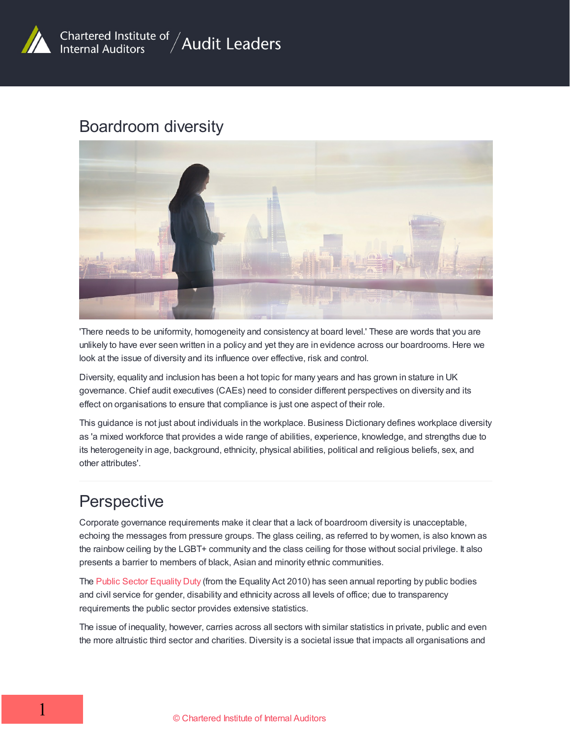

#### Boardroom diversity



'There needs to be uniformity, homogeneity and consistency at board level.' These are words that you are unlikely to have ever seen written in a policy and yet they are in evidence across our boardrooms. Here we look at the issue of diversity and its influence over effective, risk and control.

Diversity, equality and inclusion has been a hot topic for many years and has grown in stature in UK governance. Chief audit executives (CAEs) need to consider different perspectives on diversity and its effect on organisations to ensure that compliance is just one aspect of their role.

This guidance is not just about individuals in the workplace. Business Dictionary defines workplace diversity as 'a mixed workforce that provides a wide range of abilities, experience, knowledge, and strengths due to its heterogeneity in age, background, ethnicity, physical abilities, political and religious beliefs, sex, and other attributes'.

# **Perspective**

Corporate governance requirements make it clear that a lack of boardroom diversity is unacceptable, echoing the messages from pressure groups. The glass ceiling, as referred to by women, is also known as the rainbow ceiling by the LGBT+ community and the class ceiling for those without social privilege. It also presents a barrier to members of black, Asian and minority ethnic communities.

The Public Sector [Equality](https://www.equalityhumanrights.com/en/advice-and-guidance/public-sector-equality-duty) Duty (from the Equality Act 2010) has seen annual reporting by public bodies and civil service for gender, disability and ethnicity across all levels of office; due to transparency requirements the public sector provides extensive statistics.

The issue of inequality, however, carries across all sectors with similar statistics in private, public and even the more altruistic third sector and charities. Diversity is a societal issue that impacts all organisations and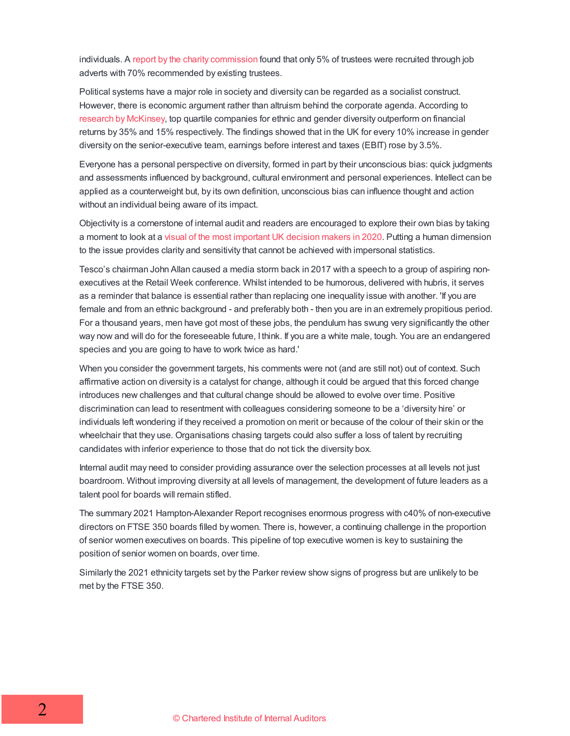individuals. A report by the charity [commission](https://www.civilsociety.co.uk/news/charity-commission-publishes-major-report-into-trusteeship.html) found that only 5% of trustees were recruited through job adverts with 70% recommended by existing trustees.

Political systems have a major role in society and diversity can be regarded as a socialist construct. However, there is economic argument rather than altruism behind the corporate agenda. According to [research](https://www.mckinsey.com/business-functions/organization/our-insights/why-diversity-matters) by [McKinsey](https://www.mckinsey.com/business-functions/organization/our-insights/why-diversity-matters), top quartile companies for ethnic and gender diversity outperform on financial returns by 35% and 15% respectively. The findings showed that in the UK for every 10% increase in gender diversity on the senior-executive team, earnings before interest and taxes (EBIT) rose by 3.5%.

Everyone has a personal perspective on diversity, formed in part by their unconscious bias: quick judgments and assessments influenced by background, cultural environment and personal experiences. Intellect can be applied as a counterweight but, by its own definition, unconscious bias can influence thought and action without an individual being aware of its impact.

Objectivity is a cornerstone of internal audit and readers are encouraged to explore their own bias by taking a moment to look at a visual of the most [important](https://www.green-park.co.uk/insights/the-colour-of-power/s191468/) UK decision makers in 2020. Putting a human dimension to the issue provides clarity and sensitivity that cannot be achieved with impersonal statistics.

Tesco's chairman John Allan caused a media storm back in 2017 with a speech to a group of aspiring nonexecutives at the Retail Week conference. Whilst intended to be humorous, delivered with hubris, it serves as a reminder that balance is essential rather than replacing one inequality issue with another. 'If you are female and from an ethnic background - and preferably both - then you are in an extremely propitious period. For a thousand years, men have got most of these jobs, the pendulum has swung very significantly the other way now and will do for the foreseeable future, I think. If you are a white male, tough. You are an endangered species and you are going to have to work twice as hard.'

When you consider the government targets, his comments were not (and are still not) out of context. Such affirmative action on diversity is a catalyst for change, although it could be argued that this forced change introduces new challenges and that cultural change should be allowed to evolve over time. Positive discrimination can lead to resentment with colleagues considering someone to be a 'diversity hire' or individuals left wondering if they received a promotion on merit or because of the colour of their skin or the wheelchair that they use. Organisations chasing targets could also suffer a loss of talent by recruiting candidates with inferior experience to those that do not tick the diversity box.

Internal audit may need to consider providing assurance over the selection processes at all levels not just boardroom. Without improving diversity at all levels of management, the development of future leaders as a talent pool for boards will remain stifled.

The summary 2021 Hampton-Alexander Report recognises enormous progress with c40% of non-executive directors on FTSE 350 boards filled by women. There is, however, a continuing challenge in the proportion of senior women executives on boards. This pipeline of top executive women is key to sustaining the position of senior women on boards, over time.

Similarly the 2021 ethnicity targets set by the Parker review show signs of progress but are unlikely to be met by the FTSE 350.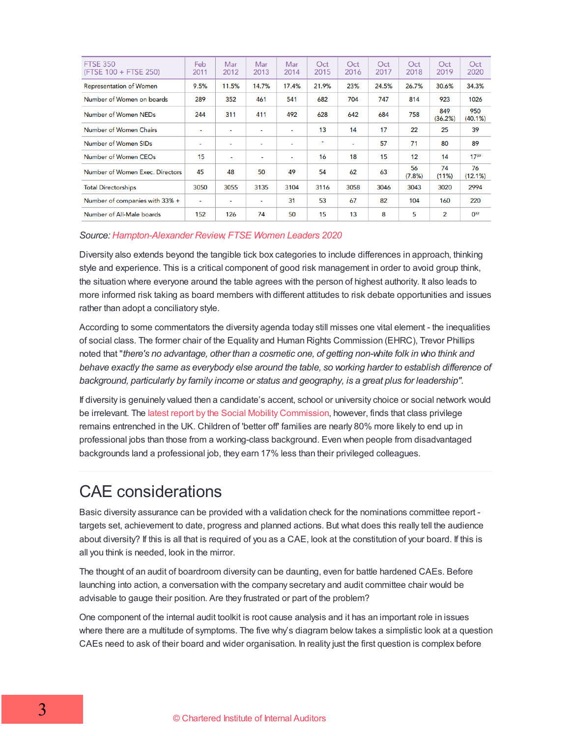| <b>FTSE 350</b><br>(FTSE 100 + FTSE 250) | Feb<br>2011              | Mar<br>2012              | Mar<br>2013              | Mar<br>2014    | Oct<br>2015              | Oct<br>2016 | Oct<br>2017 | Oct<br>2018  | Oct<br>2019    | Oct<br>2020       |
|------------------------------------------|--------------------------|--------------------------|--------------------------|----------------|--------------------------|-------------|-------------|--------------|----------------|-------------------|
| <b>Representation of Women</b>           | 9.5%                     | 11.5%                    | 14.7%                    | 17.4%          | 21.9%                    | 23%         | 24.5%       | 26.7%        | 30.6%          | 34.3%             |
| Number of Women on boards                | 289                      | 352                      | 461                      | 541            | 682                      | 704         | 747         | 814          | 923            | 1026              |
| Number of Women NEDs                     | 244                      | 311                      | 411                      | 492            | 628                      | 642         | 684         | 758          | 849<br>(36.2%) | 950<br>$(40.1\%)$ |
| Number of Women Chairs                   | ٠                        | ٠                        | ٠                        | $\blacksquare$ | 13                       | 14          | 17          | 22           | 25             | 39                |
| Number of Women SIDs                     | $\overline{\phantom{a}}$ | $\overline{\phantom{a}}$ | ۰                        | $\blacksquare$ | $\overline{\phantom{a}}$ | $\sim$      | 57          | 71           | 80             | 89                |
| Number of Women CEOs                     | 15                       | ٠                        | ۰                        | ٠              | 16                       | 18          | 15          | 12           | 14             | 1739              |
| Number of Women Exec. Directors          | 45                       | 48                       | 50                       | 49             | 54                       | 62          | 63          | 56<br>(7.8%) | 74<br>$(11\%)$ | 76<br>(12.1%)     |
| <b>Total Directorships</b>               | 3050                     | 3055                     | 3135                     | 3104           | 3116                     | 3058        | 3046        | 3043         | 3020           | 2994              |
| Number of companies with 33% +           | $\blacksquare$           | $\overline{\phantom{0}}$ | $\overline{\phantom{0}}$ | 31             | 53                       | 67          | 82          | 104          | 160            | 220               |
| Number of All-Male boards                | 152                      | 126                      | 74                       | 50             | 15                       | 13          | 8           | 5            | 2              | $0^{32}$          |

#### *Source: [Hampton-Alexander](https://ftsewomenleaders.com/) Review, FTSE Women Leaders 2020*

Diversity also extends beyond the tangible tick box categories to include differences in approach, thinking style and experience. This is a critical component of good risk management in order to avoid group think, the situation where everyone around the table agrees with the person of highest authority. It also leads to more informed risk taking as board members with different attitudes to risk debate opportunities and issues rather than adopt a conciliatory style.

According to some commentators the diversity agenda today still misses one vital element - the inequalities of social class. The former chair of the Equality and Human Rights Commission (EHRC), Trevor Phillips noted that "*there's no advantage, other than a cosmetic one, of getting non-white folk in who think and behave exactly the same as everybody else around the table, so working harder to establish difference of background, particularly by family income or status and geography, is a great plus for leadership".*

If diversity is genuinely valued then a candidate's accent, school or university choice or social network would be irrelevant. The latest report by the Social Mobility [Commission](https://www.gov.uk/government/news/class-privilege-remains-entrenched-as-social-mobility-stagnates), however, finds that class privilege remains entrenched in the UK. Children of 'better off' families are nearly 80% more likely to end up in professional jobs than those from a working-class background. Even when people from disadvantaged backgrounds land a professional job, they earn 17% less than their privileged colleagues.

## CAE considerations

Basic diversity assurance can be provided with a validation check for the nominations committee report targets set, achievement to date, progress and planned actions. But what does this really tell the audience about diversity? If this is all that is required of you as a CAE, look at the constitution of your board. If this is all you think is needed, look in the mirror.

The thought of an audit of boardroom diversity can be daunting, even for battle hardened CAEs. Before launching into action, a conversation with the company secretary and audit committee chair would be advisable to gauge their position. Are they frustrated or part of the problem?

One component of the internal audit toolkit is root cause analysis and it has an important role in issues where there are a multitude of symptoms. The five why's diagram below takes a simplistic look at a question CAEs need to ask of their board and wider organisation. In reality just the first question is complex before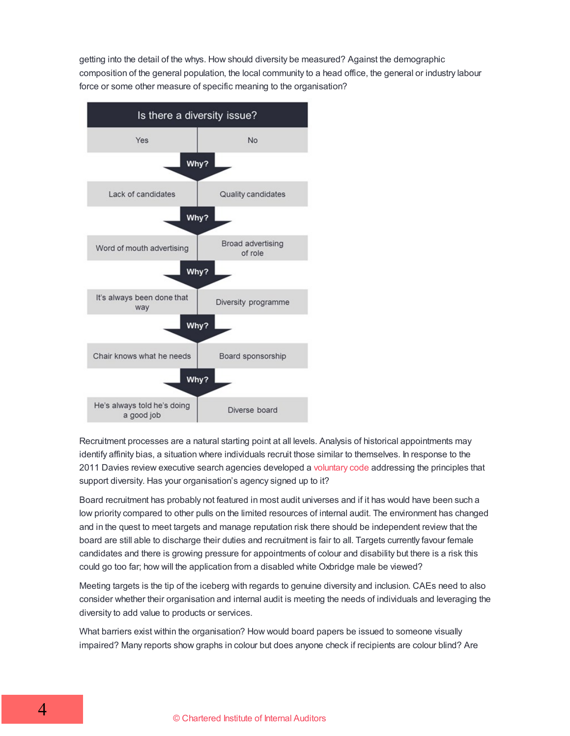getting into the detail of the whys. How should diversity be measured? Against the demographic composition of the general population, the local community to a head office, the general or industry labour force or some other measure of specific meaning to the organisation?



Recruitment processes are a natural starting point at all levels. Analysis of historical appointments may identify affinity bias, a situation where individuals recruit those similar to themselves. In response to the 2011 Davies review executive search agencies developed a [voluntary](https://www.gov.uk/government/publications/enchanced-code-of-conduct-for-executive-search-firms-accreditation-process) code addressing the principles that support diversity. Has your organisation's agency signed up to it?

Board recruitment has probably not featured in most audit universes and if it has would have been such a low priority compared to other pulls on the limited resources of internal audit. The environment has changed and in the quest to meet targets and manage reputation risk there should be independent review that the board are still able to discharge their duties and recruitment is fair to all. Targets currently favour female candidates and there is growing pressure for appointments of colour and disability but there is a risk this could go too far; how will the application from a disabled white Oxbridge male be viewed?

Meeting targets is the tip of the iceberg with regards to genuine diversity and inclusion. CAEs need to also consider whether their organisation and internal audit is meeting the needs of individuals and leveraging the diversity to add value to products or services.

What barriers exist within the organisation? How would board papers be issued to someone visually impaired? Many reports show graphs in colour but does anyone check if recipients are colour blind? Are